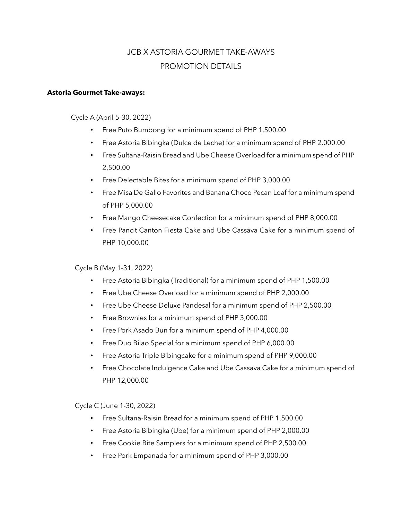## JCB X ASTORIA GOURMET TAKE-AWAYS PROMOTION DETAILS

## **Astoria Gourmet Take-aways:**

Cycle A (April 5-30, 2022)

- Free Puto Bumbong for a minimum spend of PHP 1,500.00
- Free Astoria Bibingka (Dulce de Leche) for a minimum spend of PHP 2,000.00
- Free Sultana-Raisin Bread and Ube Cheese Overload for a minimum spend of PHP 2,500.00
- Free Delectable Bites for a minimum spend of PHP 3,000.00
- Free Misa De Gallo Favorites and Banana Choco Pecan Loaf for a minimum spend of PHP 5,000.00
- Free Mango Cheesecake Confection for a minimum spend of PHP 8,000.00
- Free Pancit Canton Fiesta Cake and Ube Cassava Cake for a minimum spend of PHP 10,000.00

Cycle B (May 1-31, 2022)

- Free Astoria Bibingka (Traditional) for a minimum spend of PHP 1,500.00
- Free Ube Cheese Overload for a minimum spend of PHP 2,000.00
- Free Ube Cheese Deluxe Pandesal for a minimum spend of PHP 2,500.00
- Free Brownies for a minimum spend of PHP 3,000.00
- Free Pork Asado Bun for a minimum spend of PHP 4,000.00
- Free Duo Bilao Special for a minimum spend of PHP 6,000.00
- Free Astoria Triple Bibingcake for a minimum spend of PHP 9,000.00
- Free Chocolate Indulgence Cake and Ube Cassava Cake for a minimum spend of PHP 12,000.00

Cycle C (June 1-30, 2022)

- Free Sultana-Raisin Bread for a minimum spend of PHP 1,500.00
- Free Astoria Bibingka (Ube) for a minimum spend of PHP 2,000.00
- Free Cookie Bite Samplers for a minimum spend of PHP 2,500.00
- Free Pork Empanada for a minimum spend of PHP 3,000.00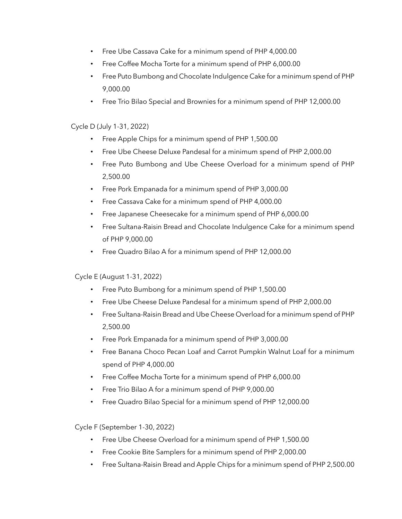- Free Ube Cassava Cake for a minimum spend of PHP 4,000.00
- Free Coffee Mocha Torte for a minimum spend of PHP 6,000.00
- Free Puto Bumbong and Chocolate Indulgence Cake for a minimum spend of PHP 9,000.00
- Free Trio Bilao Special and Brownies for a minimum spend of PHP 12,000.00

## Cycle D (July 1-31, 2022)

- Free Apple Chips for a minimum spend of PHP 1,500.00
- Free Ube Cheese Deluxe Pandesal for a minimum spend of PHP 2,000.00
- Free Puto Bumbong and Ube Cheese Overload for a minimum spend of PHP 2,500.00
- Free Pork Empanada for a minimum spend of PHP 3,000.00
- Free Cassava Cake for a minimum spend of PHP 4,000.00
- Free Japanese Cheesecake for a minimum spend of PHP 6,000.00
- Free Sultana-Raisin Bread and Chocolate Indulgence Cake for a minimum spend of PHP 9,000.00
- Free Quadro Bilao A for a minimum spend of PHP 12,000.00

## Cycle E (August 1-31, 2022)

- Free Puto Bumbong for a minimum spend of PHP 1,500.00
- Free Ube Cheese Deluxe Pandesal for a minimum spend of PHP 2,000.00
- Free Sultana-Raisin Bread and Ube Cheese Overload for a minimum spend of PHP 2,500.00
- Free Pork Empanada for a minimum spend of PHP 3,000.00
- Free Banana Choco Pecan Loaf and Carrot Pumpkin Walnut Loaf for a minimum spend of PHP 4,000.00
- Free Coffee Mocha Torte for a minimum spend of PHP 6,000.00
- Free Trio Bilao A for a minimum spend of PHP 9,000.00
- Free Quadro Bilao Special for a minimum spend of PHP 12,000.00

Cycle F (September 1-30, 2022)

- Free Ube Cheese Overload for a minimum spend of PHP 1,500.00
- Free Cookie Bite Samplers for a minimum spend of PHP 2,000.00
- Free Sultana-Raisin Bread and Apple Chips for a minimum spend of PHP 2,500.00